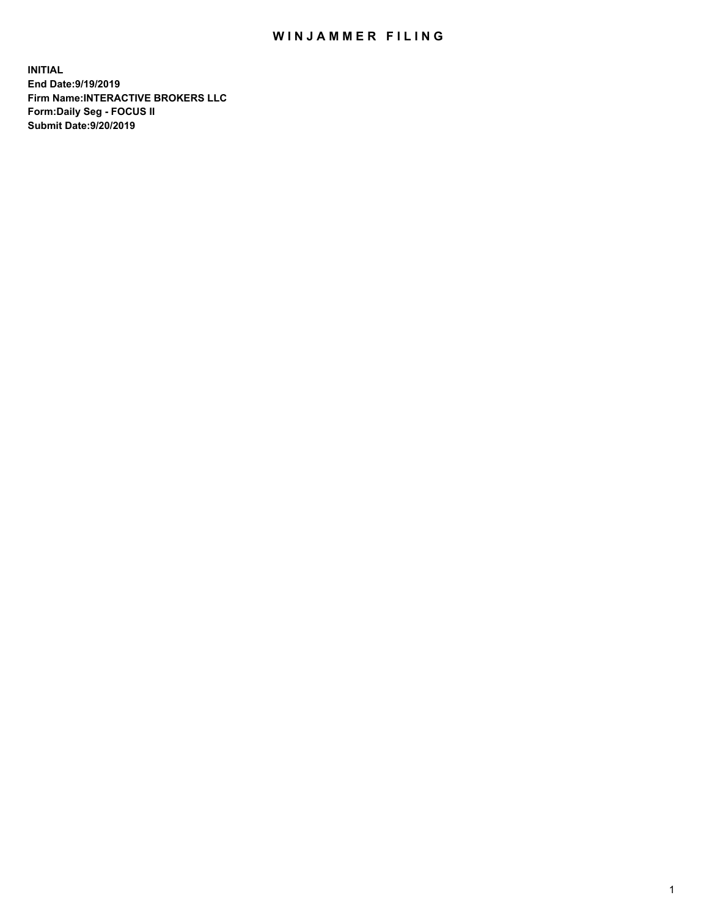## WIN JAMMER FILING

**INITIAL End Date:9/19/2019 Firm Name:INTERACTIVE BROKERS LLC Form:Daily Seg - FOCUS II Submit Date:9/20/2019**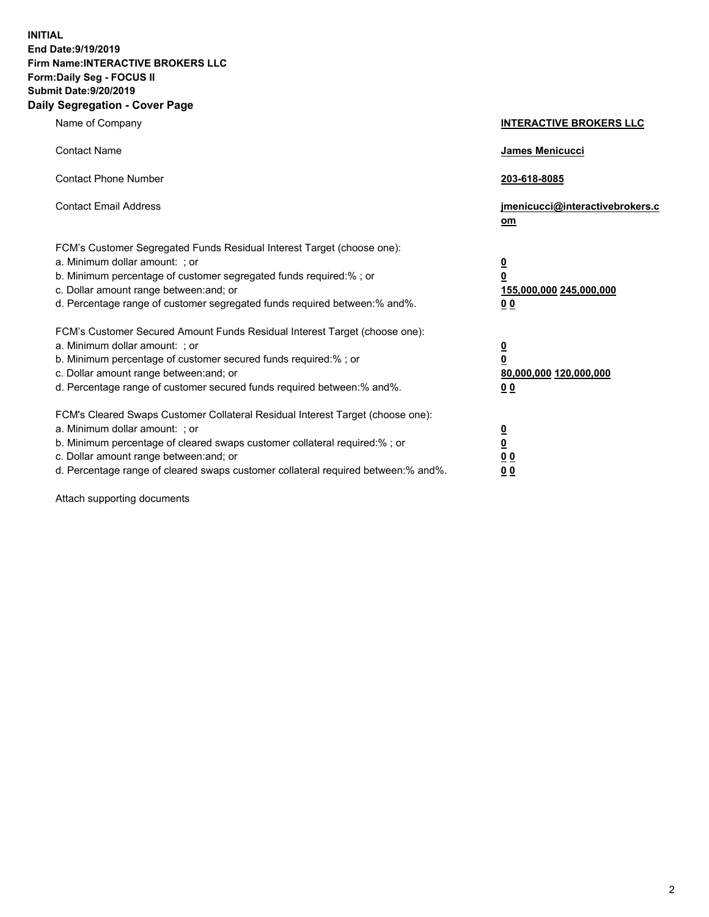**INITIAL End Date:9/19/2019 Firm Name:INTERACTIVE BROKERS LLC Form:Daily Seg - FOCUS II Submit Date:9/20/2019 Daily Segregation - Cover Page**

| Name of Company                                                                                                                                                                                                                                                                                                                | <b>INTERACTIVE BROKERS LLC</b>                                                                  |
|--------------------------------------------------------------------------------------------------------------------------------------------------------------------------------------------------------------------------------------------------------------------------------------------------------------------------------|-------------------------------------------------------------------------------------------------|
| <b>Contact Name</b>                                                                                                                                                                                                                                                                                                            | James Menicucci                                                                                 |
| <b>Contact Phone Number</b>                                                                                                                                                                                                                                                                                                    | 203-618-8085                                                                                    |
| <b>Contact Email Address</b>                                                                                                                                                                                                                                                                                                   | jmenicucci@interactivebrokers.c<br>om                                                           |
| FCM's Customer Segregated Funds Residual Interest Target (choose one):<br>a. Minimum dollar amount: ; or<br>b. Minimum percentage of customer segregated funds required:% ; or<br>c. Dollar amount range between: and; or<br>d. Percentage range of customer segregated funds required between:% and%.                         | $\overline{\mathbf{0}}$<br>$\overline{\mathbf{0}}$<br>155,000,000 245,000,000<br>0 <sub>0</sub> |
| FCM's Customer Secured Amount Funds Residual Interest Target (choose one):<br>a. Minimum dollar amount: ; or<br>b. Minimum percentage of customer secured funds required:% ; or<br>c. Dollar amount range between: and; or<br>d. Percentage range of customer secured funds required between:% and%.                           | $\overline{\mathbf{0}}$<br>0<br>80,000,000 120,000,000<br>0 <sub>0</sub>                        |
| FCM's Cleared Swaps Customer Collateral Residual Interest Target (choose one):<br>a. Minimum dollar amount: ; or<br>b. Minimum percentage of cleared swaps customer collateral required:% ; or<br>c. Dollar amount range between: and; or<br>d. Percentage range of cleared swaps customer collateral required between:% and%. | $\overline{\mathbf{0}}$<br><u>0</u><br>$\underline{0}$ $\underline{0}$<br>00                    |

Attach supporting documents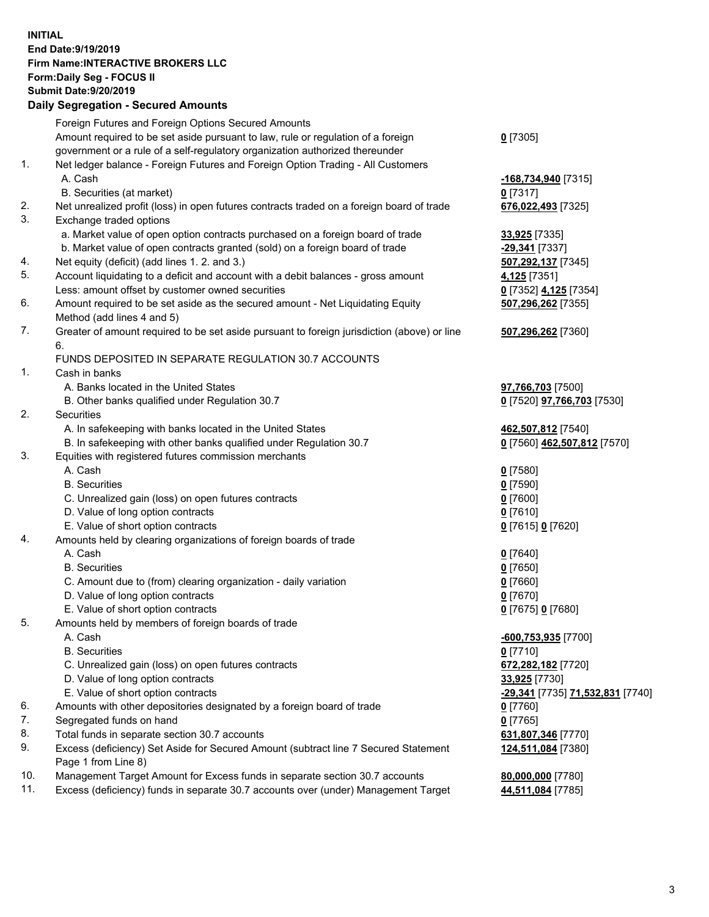## **INITIAL End Date:9/19/2019 Firm Name:INTERACTIVE BROKERS LLC Form:Daily Seg - FOCUS II Submit Date:9/20/2019 Daily Segregation - Secured Amounts**

|     | Daily Segregation - Secured Amounts                                                         |                                  |
|-----|---------------------------------------------------------------------------------------------|----------------------------------|
|     | Foreign Futures and Foreign Options Secured Amounts                                         |                                  |
|     | Amount required to be set aside pursuant to law, rule or regulation of a foreign            | $0$ [7305]                       |
|     | government or a rule of a self-regulatory organization authorized thereunder                |                                  |
| 1.  | Net ledger balance - Foreign Futures and Foreign Option Trading - All Customers             |                                  |
|     | A. Cash                                                                                     | -168,734,940 [7315]              |
|     | B. Securities (at market)                                                                   | $0$ [7317]                       |
| 2.  | Net unrealized profit (loss) in open futures contracts traded on a foreign board of trade   | 676,022,493 [7325]               |
| 3.  | Exchange traded options                                                                     |                                  |
|     | a. Market value of open option contracts purchased on a foreign board of trade              | 33,925 [7335]                    |
|     | b. Market value of open contracts granted (sold) on a foreign board of trade                | -29,341 [7337]                   |
| 4.  | Net equity (deficit) (add lines 1. 2. and 3.)                                               | 507,292,137 [7345]               |
| 5.  | Account liquidating to a deficit and account with a debit balances - gross amount           | 4,125 [7351]                     |
|     | Less: amount offset by customer owned securities                                            | 0 [7352] 4,125 [7354]            |
| 6.  | Amount required to be set aside as the secured amount - Net Liquidating Equity              | 507,296,262 [7355]               |
|     | Method (add lines 4 and 5)                                                                  |                                  |
| 7.  | Greater of amount required to be set aside pursuant to foreign jurisdiction (above) or line | 507,296,262 [7360]               |
|     | 6.                                                                                          |                                  |
|     | FUNDS DEPOSITED IN SEPARATE REGULATION 30.7 ACCOUNTS                                        |                                  |
| 1.  | Cash in banks                                                                               |                                  |
|     | A. Banks located in the United States                                                       | 97,766,703 [7500]                |
|     | B. Other banks qualified under Regulation 30.7                                              | 0 [7520] 97,766,703 [7530]       |
| 2.  | Securities                                                                                  |                                  |
|     | A. In safekeeping with banks located in the United States                                   | 462,507,812 [7540]               |
| 3.  | B. In safekeeping with other banks qualified under Regulation 30.7                          | 0 [7560] 462,507,812 [7570]      |
|     | Equities with registered futures commission merchants<br>A. Cash                            |                                  |
|     | <b>B.</b> Securities                                                                        | $0$ [7580]                       |
|     |                                                                                             | $0$ [7590]                       |
|     | C. Unrealized gain (loss) on open futures contracts<br>D. Value of long option contracts    | $0$ [7600]<br>$0$ [7610]         |
|     | E. Value of short option contracts                                                          | 0 [7615] 0 [7620]                |
| 4.  | Amounts held by clearing organizations of foreign boards of trade                           |                                  |
|     | A. Cash                                                                                     | $0$ [7640]                       |
|     | <b>B.</b> Securities                                                                        | $0$ [7650]                       |
|     | C. Amount due to (from) clearing organization - daily variation                             | $0$ [7660]                       |
|     | D. Value of long option contracts                                                           | $0$ [7670]                       |
|     | E. Value of short option contracts                                                          | 0 [7675] 0 [7680]                |
| 5.  | Amounts held by members of foreign boards of trade                                          |                                  |
|     | A. Cash                                                                                     | -600,753,935 [7700]              |
|     | <b>B.</b> Securities                                                                        | $0$ [7710]                       |
|     | C. Unrealized gain (loss) on open futures contracts                                         | 672,282,182 [7720]               |
|     | D. Value of long option contracts                                                           | 33,925 [7730]                    |
|     | E. Value of short option contracts                                                          | -29,341 [7735] 71,532,831 [7740] |
| 6.  | Amounts with other depositories designated by a foreign board of trade                      | $0$ [7760]                       |
| 7.  | Segregated funds on hand                                                                    | $0$ [7765]                       |
| 8.  | Total funds in separate section 30.7 accounts                                               | 631,807,346 [7770]               |
| 9.  | Excess (deficiency) Set Aside for Secured Amount (subtract line 7 Secured Statement         | 124,511,084 [7380]               |
|     | Page 1 from Line 8)                                                                         |                                  |
| 10. | Management Target Amount for Excess funds in separate section 30.7 accounts                 | 80,000,000 [7780]                |
| 11. | Excess (deficiency) funds in separate 30.7 accounts over (under) Management Target          | 44,511,084 [7785]                |
|     |                                                                                             |                                  |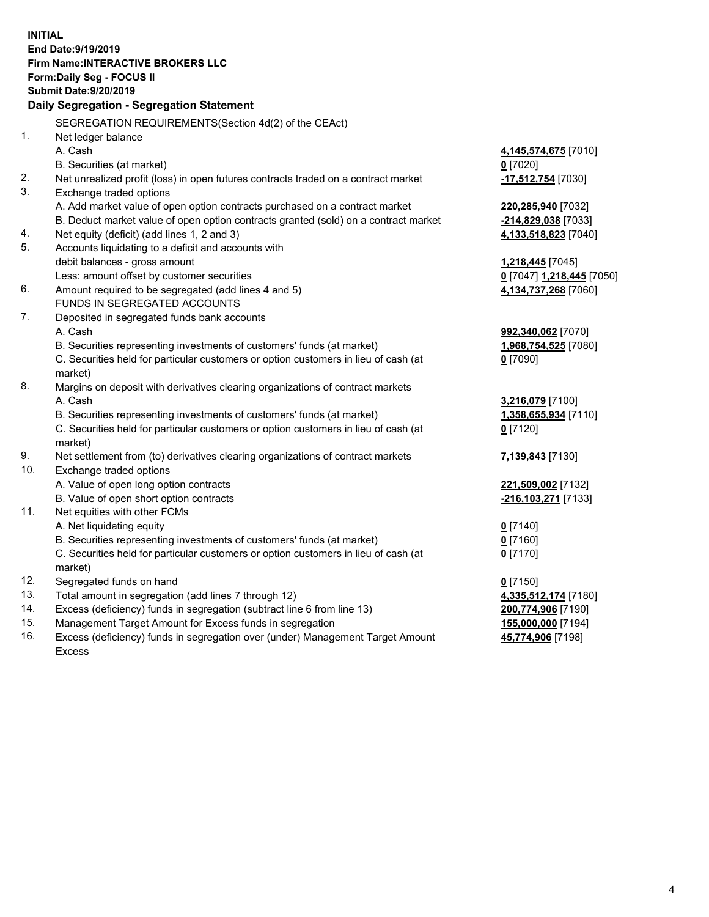**INITIAL End Date:9/19/2019 Firm Name:INTERACTIVE BROKERS LLC Form:Daily Seg - FOCUS II Submit Date:9/20/2019 Daily Segregation - Segregation Statement** SEGREGATION REQUIREMENTS(Section 4d(2) of the CEAct) 1. Net ledger balance A. Cash **4,145,574,675** [7010] B. Securities (at market) **0** [7020] 2. Net unrealized profit (loss) in open futures contracts traded on a contract market **-17,512,754** [7030] 3. Exchange traded options A. Add market value of open option contracts purchased on a contract market **220,285,940** [7032] B. Deduct market value of open option contracts granted (sold) on a contract market **-214,829,038** [7033] 4. Net equity (deficit) (add lines 1, 2 and 3) **4,133,518,823** [7040] 5. Accounts liquidating to a deficit and accounts with debit balances - gross amount **1,218,445** [7045] Less: amount offset by customer securities **0** [7047] **1,218,445** [7050] 6. Amount required to be segregated (add lines 4 and 5) **4,134,737,268** [7060] FUNDS IN SEGREGATED ACCOUNTS 7. Deposited in segregated funds bank accounts A. Cash **992,340,062** [7070] B. Securities representing investments of customers' funds (at market) **1,968,754,525** [7080] C. Securities held for particular customers or option customers in lieu of cash (at market) **0** [7090] 8. Margins on deposit with derivatives clearing organizations of contract markets A. Cash **3,216,079** [7100] B. Securities representing investments of customers' funds (at market) **1,358,655,934** [7110] C. Securities held for particular customers or option customers in lieu of cash (at market) **0** [7120] 9. Net settlement from (to) derivatives clearing organizations of contract markets **7,139,843** [7130] 10. Exchange traded options A. Value of open long option contracts **221,509,002** [7132] B. Value of open short option contracts **-216,103,271** [7133] 11. Net equities with other FCMs A. Net liquidating equity **0** [7140] B. Securities representing investments of customers' funds (at market) **0** [7160] C. Securities held for particular customers or option customers in lieu of cash (at market) **0** [7170] 12. Segregated funds on hand **0** [7150] 13. Total amount in segregation (add lines 7 through 12) **4,335,512,174** [7180] 14. Excess (deficiency) funds in segregation (subtract line 6 from line 13) **200,774,906** [7190] 15. Management Target Amount for Excess funds in segregation **155,000,000** [7194]

16. Excess (deficiency) funds in segregation over (under) Management Target Amount Excess

**45,774,906** [7198]